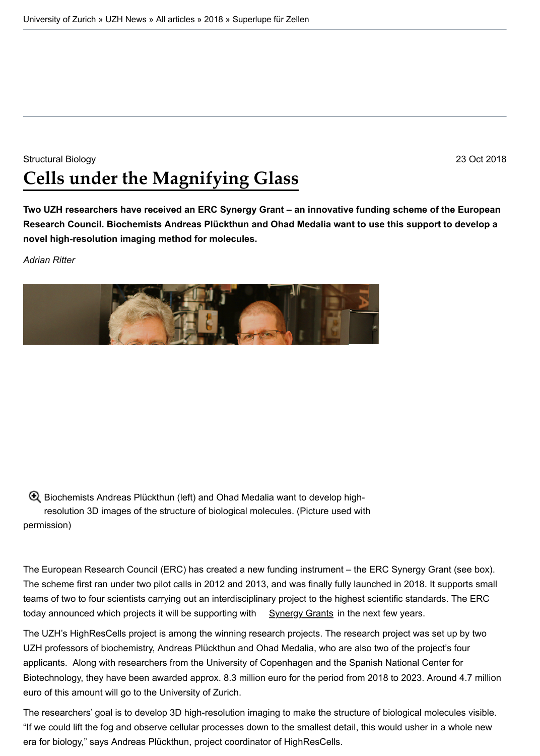[Two UZH researchers have received](http://www.uzh.ch/en.html) an ERC Synergy Grant – an innovative funding scheme of the Eur **Research Council. Biochemists Andreas Plückthun and Ohad Medalia want to use this support to develop and a novel high-resolution imaging method for molecules.**

*Adrian Ritter*

Biochemists Andreas Plückthun (left) and Ohad Medalia want to develop highresolution 3D images of the structure of biological molecules. (Picture used with permission)

The European Research Council (ERC) has created a new funding instrument – the ERC Synergy Grant (see The scheme first ran under two pilot calls in 2012 and 2013, and was finally fully launched in 2018. It supports teams of two to four scientists carrying out an interdisciplinary project to the highest scientific standards. The E today announced which projects it will be supporting with  $Sy$ nergy Grants in the next few years.

[The](https://www.news.uzh.ch/dam/jcr:f1d79877-ae22-41f4-8a92-b9ef1f5dceff/erc_syn_1000.jpg) UZH's HighResCells project is among the winning research projects. The research project was set up by the UZH professors of biochemistry, Andreas Plückthun and Ohad Medalia, who are also two of the project's four applicants. Along with researchers from the University of Copenhagen and the Spanish National Center for Biotechnology, they have been awarded approx. 8.3 million euro for the period from 2018 to 2023. Around 4.7 euro of this amount will go to the University of Zurich.

The researchers' goal is to develop 3D high-resolution imaging to make the structure of biological molecules v "If we could lift the fog and observe cellular processes down to the smallest detail, this would usher in a whole new era for biology," says Andreas Plückthun, project coordinator of HighResCells.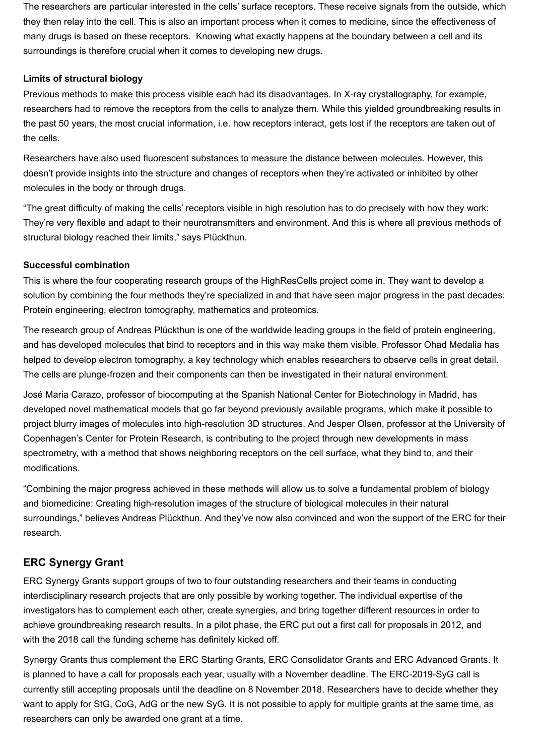The researchers are particular interested in the cells' surface receptors. These receive signals from the outside, which they then relay into the cell. This is also an important process when it comes to medicine, since the effectiveness of many drugs is based on these receptors. Knowing what exactly happens at the boundary between a cell and its surroundings is therefore crucial when it comes to developing new drugs.

## **Limits of structural biology**

Previous methods to make this process visible each had its disadvantages. In X-ray crystallography, for example, researchers had to remove the receptors from the cells to analyze them. While this yielded groundbreaking results in the past 50 years, the most crucial information, i.e. how receptors interact, gets lost if the receptors are taken out of the cells.

Researchers have also used fluorescent substances to measure the distance between molecules. However, this doesn't provide insights into the structure and changes of receptors when they're activated or inhibited by other molecules in the body or through drugs.

"The great difficulty of making the cells' receptors visible in high resolution has to do precisely with how they work: They're very flexible and adapt to their neurotransmitters and environment. And this is where all previous methods of structural biology reached their limits," says Plückthun.

## **Successful combination**

This is where the four cooperating research groups of the HighResCells project come in. They want to develop a solution by combining the four methods they're specialized in and that have seen major progress in the past decades: Protein engineering, electron tomography, mathematics and proteomics.

The research group of Andreas Plückthun is one of the worldwide leading groups in the field of protein engineering, and has developed molecules that bind to receptors and in this way make them visible. Professor Ohad Medalia has helped to develop electron tomography, a key technology which enables researchers to observe cells in great detail. The cells are plunge-frozen and their components can then be investigated in their natural environment.

José Maria Carazo, professor of biocomputing at the Spanish National Center for Biotechnology in Madrid, has developed novel mathematical models that go far beyond previously available programs, which make it possible to project blurry images of molecules into high-resolution 3D structures. And Jesper Olsen, professor at the University of Copenhagen's Center for Protein Research, is contributing to the project through new developments in mass spectrometry, with a method that shows neighboring receptors on the cell surface, what they bind to, and their modifications.

"Combining the major progress achieved in these methods will allow us to solve a fundamental problem of biology and biomedicine: Creating high-resolution images of the structure of biological molecules in their natural surroundings," believes Andreas Plückthun. And they've now also convinced and won the support of the ERC for their research.

## **ERC Synergy Grant**

ERC Synergy Grants support groups of two to four outstanding researchers and their teams in conducting interdisciplinary research projects that are only possible by working together. The individual expertise of the investigators has to complement each other, create synergies, and bring together different resources in order to achieve groundbreaking research results. In a pilot phase, the ERC put out a first call for proposals in 2012, and with the 2018 call the funding scheme has definitely kicked off.

Synergy Grants thus complement the ERC Starting Grants, ERC Consolidator Grants and ERC Advanced Grants. It is planned to have a call for proposals each year, usually with a November deadline. The ERC-2019-SyG call is currently still accepting proposals until the deadline on 8 November 2018. Researchers have to decide whether they want to apply for StG, CoG, AdG or the new SyG. It is not possible to apply for multiple grants at the same time, as researchers can only be awarded one grant at a time.